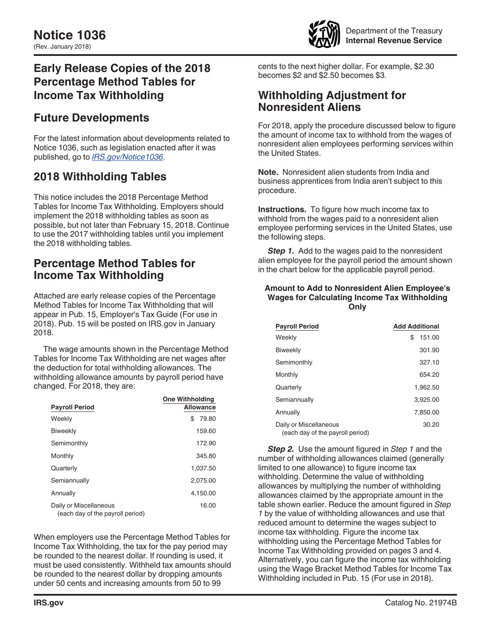

# **Early Release Copies of the 2018 Percentage Method Tables for Income Tax Withholding**

# **Future Developments**

For the latest information about developments related to Notice 1036, such as legislation enacted after it was published, go to *[IRS.gov/Notice1036](https://www.irs.gov/notice1036)*.

# **2018 Withholding Tables**

This notice includes the 2018 Percentage Method Tables for Income Tax Withholding. Employers should implement the 2018 withholding tables as soon as possible, but not later than February 15, 2018. Continue to use the 2017 withholding tables until you implement the 2018 withholding tables.

# **Percentage Method Tables for Income Tax Withholding**

Attached are early release copies of the Percentage Method Tables for Income Tax Withholding that will appear in Pub. 15, Employer's Tax Guide (For use in 2018). Pub. 15 will be posted on IRS.gov in January 2018.

The wage amounts shown in the Percentage Method Tables for Income Tax Withholding are net wages after the deduction for total withholding allowances. The withholding allowance amounts by payroll period have changed. For 2018, they are:

| <b>Payroll Period</b>                                      | <b>One Withholding</b><br><b>Allowance</b> |
|------------------------------------------------------------|--------------------------------------------|
| Weekly                                                     | 79.80<br>S                                 |
| <b>Biweekly</b>                                            | 159.60                                     |
| Semimonthly                                                | 172.90                                     |
| Monthly                                                    | 345.80                                     |
| Quarterly                                                  | 1,037.50                                   |
| Semiannually                                               | 2,075.00                                   |
| Annually                                                   | 4,150.00                                   |
| Daily or Miscellaneous<br>(each day of the payroll period) | 16.00                                      |

When employers use the Percentage Method Tables for Income Tax Withholding, the tax for the pay period may be rounded to the nearest dollar. If rounding is used, it must be used consistently. Withheld tax amounts should be rounded to the nearest dollar by dropping amounts under 50 cents and increasing amounts from 50 to 99

cents to the next higher dollar. For example, \$2.30 becomes \$2 and \$2.50 becomes \$3.

# **Withholding Adjustment for Nonresident Aliens**

For 2018, apply the procedure discussed below to figure the amount of income tax to withhold from the wages of nonresident alien employees performing services within the United States.

**Note.** Nonresident alien students from India and business apprentices from India aren't subject to this procedure.

**Instructions.** To figure how much income tax to withhold from the wages paid to a nonresident alien employee performing services in the United States, use the following steps.

**Step 1.** Add to the wages paid to the nonresident alien employee for the payroll period the amount shown in the chart below for the applicable payroll period.

## **Amount to Add to Nonresident Alien Employee's Wages for Calculating Income Tax Withholding Only**

| <b>Payroll Period</b>                                      | <b>Add Additional</b> |
|------------------------------------------------------------|-----------------------|
| Weekly                                                     | \$<br>151.00          |
| <b>Biweekly</b>                                            | 301.90                |
| Semimonthly                                                | 327.10                |
| Monthly                                                    | 654.20                |
| Quarterly                                                  | 1,962.50              |
| Semiannually                                               | 3,925.00              |
| Annually                                                   | 7.850.00              |
| Daily or Miscellaneous<br>(each day of the payroll period) | 30.20                 |

*Step 2.* Use the amount figured in *Step 1* and the number of withholding allowances claimed (generally limited to one allowance) to figure income tax withholding. Determine the value of withholding allowances by multiplying the number of withholding allowances claimed by the appropriate amount in the table shown earlier. Reduce the amount figured in *Step 1* by the value of withholding allowances and use that reduced amount to determine the wages subject to income tax withholding. Figure the income tax withholding using the Percentage Method Tables for Income Tax Withholding provided on pages 3 and 4. Alternatively, you can figure the income tax withholding using the Wage Bracket Method Tables for Income Tax Withholding included in Pub. 15 (For use in 2018).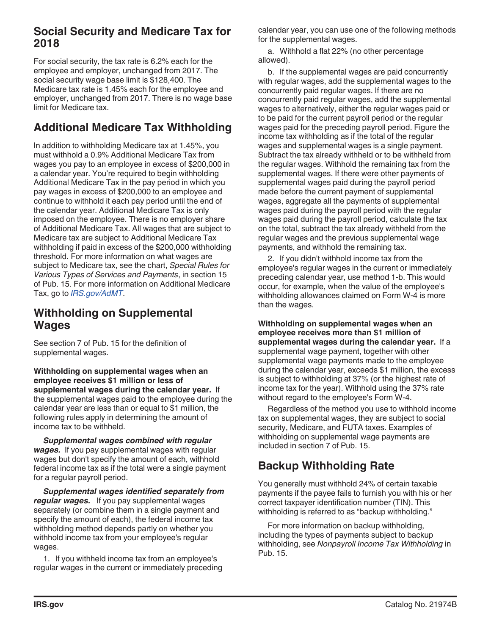# **Social Security and Medicare Tax for 2018**

For social security, the tax rate is 6.2% each for the employee and employer, unchanged from 2017. The social security wage base limit is \$128,400. The Medicare tax rate is 1.45% each for the employee and employer, unchanged from 2017. There is no wage base limit for Medicare tax.

# **Additional Medicare Tax Withholding**

In addition to withholding Medicare tax at 1.45%, you must withhold a 0.9% Additional Medicare Tax from wages you pay to an employee in excess of \$200,000 in a calendar year. You're required to begin withholding Additional Medicare Tax in the pay period in which you pay wages in excess of \$200,000 to an employee and continue to withhold it each pay period until the end of the calendar year. Additional Medicare Tax is only imposed on the employee. There is no employer share of Additional Medicare Tax. All wages that are subject to Medicare tax are subject to Additional Medicare Tax withholding if paid in excess of the \$200,000 withholding threshold. For more information on what wages are subject to Medicare tax, see the chart, *Special Rules for Various Types of Services and Payments*, in section 15 of Pub. 15. For more information on Additional Medicare Tax, go to *[IRS.gov/AdMT](https://www.irs.gov/admt)*.

# **Withholding on Supplemental Wages**

See section 7 of Pub. 15 for the definition of supplemental wages.

**Withholding on supplemental wages when an employee receives \$1 million or less of supplemental wages during the calendar year.** If the supplemental wages paid to the employee during the calendar year are less than or equal to \$1 million, the following rules apply in determining the amount of income tax to be withheld.

*Supplemental wages combined with regular wages.* If you pay supplemental wages with regular wages but don't specify the amount of each, withhold federal income tax as if the total were a single payment for a regular payroll period.

*Supplemental wages identified separately from regular wages.* If you pay supplemental wages separately (or combine them in a single payment and specify the amount of each), the federal income tax withholding method depends partly on whether you withhold income tax from your employee's regular wages.

1. If you withheld income tax from an employee's regular wages in the current or immediately preceding calendar year, you can use one of the following methods for the supplemental wages.

a. Withhold a flat 22% (no other percentage allowed).

b. If the supplemental wages are paid concurrently with regular wages, add the supplemental wages to the concurrently paid regular wages. If there are no concurrently paid regular wages, add the supplemental wages to alternatively, either the regular wages paid or to be paid for the current payroll period or the regular wages paid for the preceding payroll period. Figure the income tax withholding as if the total of the regular wages and supplemental wages is a single payment. Subtract the tax already withheld or to be withheld from the regular wages. Withhold the remaining tax from the supplemental wages. If there were other payments of supplemental wages paid during the payroll period made before the current payment of supplemental wages, aggregate all the payments of supplemental wages paid during the payroll period with the regular wages paid during the payroll period, calculate the tax on the total, subtract the tax already withheld from the regular wages and the previous supplemental wage payments, and withhold the remaining tax.

2. If you didn't withhold income tax from the employee's regular wages in the current or immediately preceding calendar year, use method 1-b. This would occur, for example, when the value of the employee's withholding allowances claimed on Form W-4 is more than the wages.

**Withholding on supplemental wages when an employee receives more than \$1 million of supplemental wages during the calendar year.** If a supplemental wage payment, together with other supplemental wage payments made to the employee during the calendar year, exceeds \$1 million, the excess is subject to withholding at 37% (or the highest rate of income tax for the year). Withhold using the 37% rate without regard to the employee's Form W-4.

Regardless of the method you use to withhold income tax on supplemental wages, they are subject to social security, Medicare, and FUTA taxes. Examples of withholding on supplemental wage payments are included in section 7 of Pub. 15.

# **Backup Withholding Rate**

You generally must withhold 24% of certain taxable payments if the payee fails to furnish you with his or her correct taxpayer identification number (TIN). This withholding is referred to as "backup withholding."

For more information on backup withholding, including the types of payments subject to backup withholding, see *Nonpayroll Income Tax Withholding* in Pub. 15.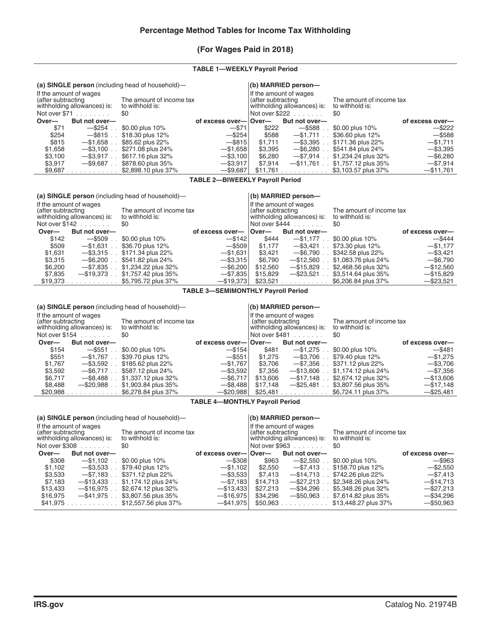## **(For Wages Paid in 2018)**

## **TABLE 1—WEEKLY Payroll Period**

| (a) SINGLE person (including head of household)— |                                                       |                                                                                                                            |                       |                                             | $($ b) MARRIED person—  |                     |                 |
|--------------------------------------------------|-------------------------------------------------------|----------------------------------------------------------------------------------------------------------------------------|-----------------------|---------------------------------------------|-------------------------|---------------------|-----------------|
| (after subtracting                               | If the amount of wages<br>withholding allowances) is: | If the amount of wages<br>The amount of income tax<br>(after subtracting<br>withholding allowances) is:<br>to withhold is: |                       | The amount of income tax<br>to withhold is: |                         |                     |                 |
|                                                  | Not over $$71$                                        | \$0                                                                                                                        |                       |                                             | Not over $$222$         | \$0                 |                 |
| Over—                                            | But not over-                                         |                                                                                                                            | of excess over-lover- |                                             | But not over-           |                     | of excess over— |
| \$71                                             | $-$ \$254                                             | \$0.00 plus 10%                                                                                                            | $-$ \$71              | \$222                                       | $-$ \$588               | \$0.00 plus 10%     | $-$ \$222       |
| \$254                                            | $-$ \$815.                                            | \$18,30 plus 12%                                                                                                           | $-$ \$254             | \$588                                       | $-$ \$1.711 $\ldots$    | \$36.60 plus 12%    | $-$ \$588       |
| \$815                                            | $-$ \$1.658                                           | \$85.62 plus 22%                                                                                                           | $-$ \$815             | \$1.711                                     | $-$ \$3.395             | \$171.36 plus 22%   | $-$ \$1,711     |
| \$1.658                                          | $-$ \$3.100                                           | \$271.08 plus 24%                                                                                                          | $-$ \$1.658           | \$3.395                                     | $-$ \$6.280             | \$541.84 plus 24%   | $-$ \$3.395     |
| \$3,100                                          | $-$ \$3.917.                                          | \$617.16 plus 32%                                                                                                          | $-$ \$3,100           | \$6,280                                     | $-$ \$7.914 .           | \$1,234.24 plus 32% | $-$ \$6,280     |
| \$3,917                                          | $-$ \$9.687                                           | \$878.60 plus 35%                                                                                                          | $-$ \$3,917           | \$7.914                                     | $-$ \$11.761.           | \$1,757.12 plus 35% | $-$ \$7.914     |
| $$9,687$ .                                       | and a straight and a                                  | \$2,898.10 plus 37%                                                                                                        | $-$ \$9.687           | \$11.761                                    | and a straightful and a | \$3,103.57 plus 37% | $-$ \$11,761    |

#### **TABLE 2—BIWEEKLY Payroll Period**

**(a) SINGLE person** (including head of household)— **(b) MARRIED person—**

| If the amount of wages<br>after subtracting<br>withholding allowances) is:<br>Not over $$142$ |                       | The amount of income tax<br>to withhold is:<br>\$0 |                 | If the amount of wages<br>(after subtracting<br> withholding allowances) is:<br>Not over $$444$ |                                 | The amount of income tax<br>to withhold is:<br>\$0 |                 |
|-----------------------------------------------------------------------------------------------|-----------------------|----------------------------------------------------|-----------------|-------------------------------------------------------------------------------------------------|---------------------------------|----------------------------------------------------|-----------------|
|                                                                                               |                       |                                                    |                 |                                                                                                 |                                 |                                                    |                 |
| Over-                                                                                         | But not over-         |                                                    | of excess over- | ∣Over—                                                                                          | But not over-                   |                                                    | of excess over— |
| \$142                                                                                         | $-$ \$509             | \$0.00 plus 10%                                    | $-$ \$142       | \$444                                                                                           | $-$ \$1.177.                    | \$0.00 plus 10%                                    | $-$ \$444       |
| \$509                                                                                         | $-$ \$1.631           | \$36,70 plus 12%                                   | $-$ \$509       | \$1.177                                                                                         | $-$ \$3.421.                    | \$73.30 plus 12%                                   | $-$ \$1.177     |
| \$1.631                                                                                       | $-$ \$3.315.          | \$171.34 plus 22%                                  | $-$ \$1.631     | \$3.421                                                                                         | $-$ \$6.790.                    | \$342.58 plus 22%                                  | $-$ \$3.421     |
| \$3,315                                                                                       | $-$ \$6.200           | \$541.82 plus 24%                                  | $-$ \$3.315     | \$6.790                                                                                         | $-$ \$12.560                    | \$1,083.76 plus 24%                                | $-$ \$6.790     |
| \$6,200                                                                                       | $-$ \$7.835           | \$1,234.22 plus 32%                                | $-$ \$6,200     | \$12,560                                                                                        | $-$ \$15,829                    | \$2,468.56 plus 32%                                | $-$ \$12.560    |
| \$7.835                                                                                       | $-$ \$19.373 .        | \$1,757.42 plus 35%                                | $-$ \$7,835     | \$15,829                                                                                        | $-$ \$23,521                    | \$3,514.64 plus 35%                                | $-$ \$15,829    |
| \$19,373                                                                                      | and a straightful and | \$5,795.72 plus 37%                                | $-$ \$19.373    | \$23.521                                                                                        | design and a state of the state | \$6,206.84 plus 37%                                | $-$ \$23.521    |

#### **TABLE 3—SEMIMONTHLY Payroll Period**

| (a) SINGLE person (including head of household)— |                                                       |                                             |                       |                    | (b) MARRIED person-                                   |                                             |                 |
|--------------------------------------------------|-------------------------------------------------------|---------------------------------------------|-----------------------|--------------------|-------------------------------------------------------|---------------------------------------------|-----------------|
| (after subtracting                               | If the amount of wages<br>withholding allowances) is: | The amount of income tax<br>to withhold is: |                       | (after subtracting | If the amount of wages<br>withholding allowances) is: | The amount of income tax<br>to withhold is: |                 |
|                                                  | Not over $$154$                                       | \$0                                         |                       |                    | Not over $$481$                                       | \$0                                         |                 |
| Over-                                            | But not over-                                         |                                             | of excess over-lover- |                    | But not over-                                         |                                             | of excess over- |
| \$154                                            | $-$ \$551.                                            | \$0.00 plus 10%                             | $-$ \$154             | \$481              | $-$ \$1.275.                                          | \$0.00 plus 10%                             | $-$ \$481       |
| \$551                                            | $-$ \$1.767                                           | \$39.70 plus 12%                            | $-$ \$551             | \$1.275            | $-$ \$3.706 .                                         | \$79.40 plus 12%                            | $-$ \$1.275     |
| \$1.767                                          | $-$ \$3.592                                           | \$185.62 plus 22%                           | $-$ \$1.767           | \$3.706            | $-$ \$7.356.                                          | \$371.12 plus 22%                           | $-$ \$3.706     |
| \$3,592                                          | $-$ \$6.717                                           | \$587.12 plus 24%                           | $-$ \$3.592           | \$7.356            | $-$ \$13.606                                          | \$1,174.12 plus 24%                         | $-$ \$7.356     |
| \$6,717                                          | $-$ \$8.488                                           | \$1,337.12 plus 32%                         | $-$ \$6.717           | \$13,606           | $-$ \$17.148.                                         | \$2,674.12 plus 32%                         | $-$ \$13,606    |
| \$8.488                                          | $-$ \$20.988                                          | \$1,903.84 plus 35%                         | $-$ \$8.488           | \$17.148           | $-$ \$25.481                                          | \$3,807.56 plus 35%                         | $-$ \$17.148    |
| \$20,988                                         | design and contract and                               | \$6,278,84 plus 37%                         | $-$ \$20,988          | \$25,481           | the property of the property                          | \$6,724.11 plus 37%                         | $-$ \$25,481    |

## **TABLE 4—MONTHLY Payroll Period**

|                                                                                                                            |                 | (a) SINGLE person (including head of household)—                                                                           |                       |          | $(b)$ MARRIED person- |                      |                 |
|----------------------------------------------------------------------------------------------------------------------------|-----------------|----------------------------------------------------------------------------------------------------------------------------|-----------------------|----------|-----------------------|----------------------|-----------------|
| If the amount of wages<br>The amount of income tax<br>(after subtracting<br>withholding allowances) is:<br>to withhold is: |                 | If the amount of wages<br>(after subtracting<br>The amount of income tax<br>withholding allowances) is:<br>to withhold is: |                       |          |                       |                      |                 |
|                                                                                                                            | Not over $$308$ | \$0                                                                                                                        |                       |          | Not over $$963$       | 80                   |                 |
| Over—                                                                                                                      | But not over-   |                                                                                                                            | of excess over-lover- |          | But not over-         |                      | of excess over- |
| \$308                                                                                                                      | $-$ \$1.102.    | \$0.00 plus 10%                                                                                                            | $-$ \$308             | \$963    | $-$ \$2.550           | \$0.00 plus 10%      | $-$ \$963       |
| \$1.102                                                                                                                    | -\$3.533        | \$79.40 plus 12%                                                                                                           | $-$ \$1.102           | \$2.550  | $-$ \$7.413.          | \$158.70 plus 12%    | $-$ \$2.550     |
| \$3,533                                                                                                                    | $-$ \$7.183.    | \$371.12 plus 22%                                                                                                          | $-$ \$3.533           | \$7.413  | $-$ \$14.713.         | \$742.26 plus 22%    | $-$ \$7,413     |
| \$7.183                                                                                                                    | $-$ \$13.433.   | \$1,174,12 plus 24%                                                                                                        | $-$ \$7.183           | \$14.713 | $-$ \$27.213.         | \$2,348,26 plus 24%  | $-$ \$14.713    |
| \$13,433                                                                                                                   | $-$ \$16.975.   | \$2,674.12 plus 32%                                                                                                        | $-$ \$13.433          | \$27,213 | $-$ \$34.296 .        | \$5,348.26 plus 32%  | $-$ \$27,213    |
| \$16,975                                                                                                                   | $-$ \$41,975    | \$3,807.56 plus 35%                                                                                                        | $-$ \$16.975          | \$34.296 | -\$50,963             | \$7,614.82 plus 35%  | $-$ \$34,296    |
| \$41.975                                                                                                                   | .               | \$12,557.56 plus 37%                                                                                                       | $-$ \$41.975          | \$50,963 | .                     | \$13,448.27 plus 37% | $-$ \$50,963    |
|                                                                                                                            |                 |                                                                                                                            |                       |          |                       |                      |                 |